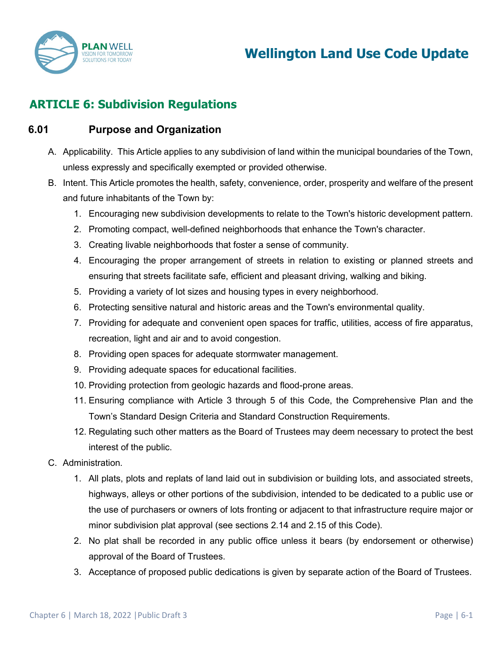

# **ARTICLE 6: Subdivision Regulations**

### **6.01 Purpose and Organization**

- A. Applicability. This Article applies to any subdivision of land within the municipal boundaries of the Town, unless expressly and specifically exempted or provided otherwise.
- B. Intent. This Article promotes the health, safety, convenience, order, prosperity and welfare of the present and future inhabitants of the Town by:
	- 1. Encouraging new subdivision developments to relate to the Town's historic development pattern.
	- 2. Promoting compact, well-defined neighborhoods that enhance the Town's character.
	- 3. Creating livable neighborhoods that foster a sense of community.
	- 4. Encouraging the proper arrangement of streets in relation to existing or planned streets and ensuring that streets facilitate safe, efficient and pleasant driving, walking and biking.
	- 5. Providing a variety of lot sizes and housing types in every neighborhood.
	- 6. Protecting sensitive natural and historic areas and the Town's environmental quality.
	- 7. Providing for adequate and convenient open spaces for traffic, utilities, access of fire apparatus, recreation, light and air and to avoid congestion.
	- 8. Providing open spaces for adequate stormwater management.
	- 9. Providing adequate spaces for educational facilities.
	- 10. Providing protection from geologic hazards and flood-prone areas.
	- 11. Ensuring compliance with Article 3 through 5 of this Code, the Comprehensive Plan and the Town's Standard Design Criteria and Standard Construction Requirements.
	- 12. Regulating such other matters as the Board of Trustees may deem necessary to protect the best interest of the public.
- C. Administration.
	- 1. All plats, plots and replats of land laid out in subdivision or building lots, and associated streets, highways, alleys or other portions of the subdivision, intended to be dedicated to a public use or the use of purchasers or owners of lots fronting or adjacent to that infrastructure require major or minor subdivision plat approval (see sections 2.14 and 2.15 of this Code).
	- 2. No plat shall be recorded in any public office unless it bears (by endorsement or otherwise) approval of the Board of Trustees.
	- 3. Acceptance of proposed public dedications is given by separate action of the Board of Trustees.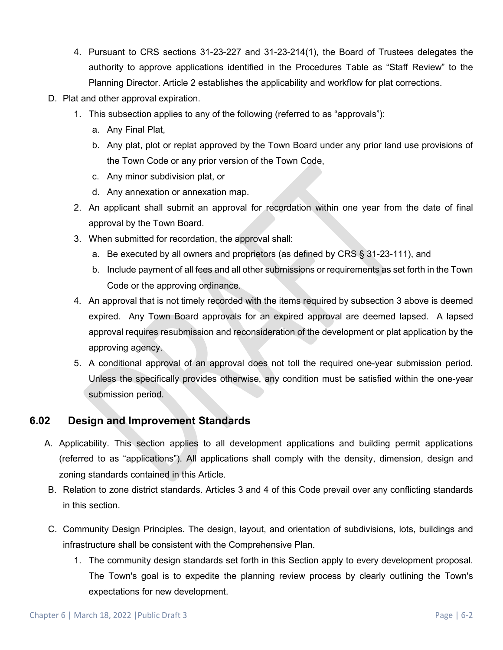- 4. Pursuant to CRS sections 31-23-227 and 31-23-214(1), the Board of Trustees delegates the authority to approve applications identified in the Procedures Table as "Staff Review" to the Planning Director. Article 2 establishes the applicability and workflow for plat corrections.
- D. Plat and other approval expiration.
	- 1. This subsection applies to any of the following (referred to as "approvals"):
		- a. Any Final Plat,
		- b. Any plat, plot or replat approved by the Town Board under any prior land use provisions of the Town Code or any prior version of the Town Code,
		- c. Any minor subdivision plat, or
		- d. Any annexation or annexation map.
	- 2. An applicant shall submit an approval for recordation within one year from the date of final approval by the Town Board.
	- 3. When submitted for recordation, the approval shall:
		- a. Be executed by all owners and proprietors (as defined by CRS § 31-23-111), and
		- b. Include payment of all fees and all other submissions or requirements as set forth in the Town Code or the approving ordinance.
	- 4. An approval that is not timely recorded with the items required by subsection 3 above is deemed expired. Any Town Board approvals for an expired approval are deemed lapsed. A lapsed approval requires resubmission and reconsideration of the development or plat application by the approving agency.
	- 5. A conditional approval of an approval does not toll the required one-year submission period. Unless the specifically provides otherwise, any condition must be satisfied within the one-year submission period.

## **6.02 Design and Improvement Standards**

- A. Applicability. This section applies to all development applications and building permit applications (referred to as "applications"). All applications shall comply with the density, dimension, design and zoning standards contained in this Article.
- B. Relation to zone district standards. Articles 3 and 4 of this Code prevail over any conflicting standards in this section.
- C. Community Design Principles. The design, layout, and orientation of subdivisions, lots, buildings and infrastructure shall be consistent with the Comprehensive Plan.
	- 1. The community design standards set forth in this Section apply to every development proposal. The Town's goal is to expedite the planning review process by clearly outlining the Town's expectations for new development.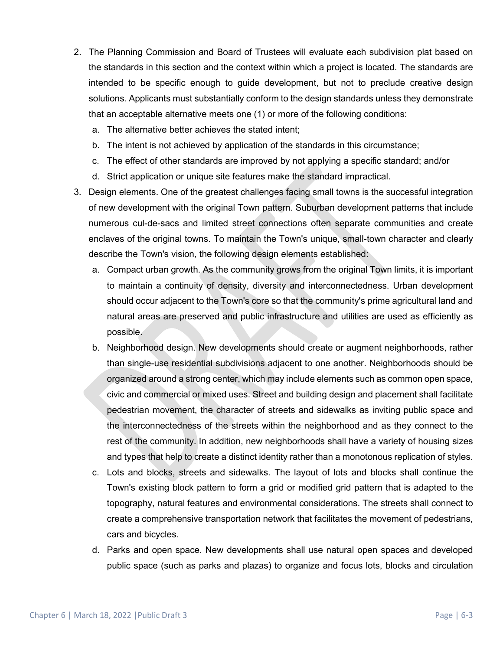- 2. The Planning Commission and Board of Trustees will evaluate each subdivision plat based on the standards in this section and the context within which a project is located. The standards are intended to be specific enough to guide development, but not to preclude creative design solutions. Applicants must substantially conform to the design standards unless they demonstrate that an acceptable alternative meets one (1) or more of the following conditions:
	- a. The alternative better achieves the stated intent;
	- b. The intent is not achieved by application of the standards in this circumstance;
	- c. The effect of other standards are improved by not applying a specific standard; and/or
	- d. Strict application or unique site features make the standard impractical.
- 3. Design elements. One of the greatest challenges facing small towns is the successful integration of new development with the original Town pattern. Suburban development patterns that include numerous cul-de-sacs and limited street connections often separate communities and create enclaves of the original towns. To maintain the Town's unique, small-town character and clearly describe the Town's vision, the following design elements established:
	- a. Compact urban growth. As the community grows from the original Town limits, it is important to maintain a continuity of density, diversity and interconnectedness. Urban development should occur adjacent to the Town's core so that the community's prime agricultural land and natural areas are preserved and public infrastructure and utilities are used as efficiently as possible.
	- b. Neighborhood design. New developments should create or augment neighborhoods, rather than single-use residential subdivisions adjacent to one another. Neighborhoods should be organized around a strong center, which may include elements such as common open space, civic and commercial or mixed uses. Street and building design and placement shall facilitate pedestrian movement, the character of streets and sidewalks as inviting public space and the interconnectedness of the streets within the neighborhood and as they connect to the rest of the community. In addition, new neighborhoods shall have a variety of housing sizes and types that help to create a distinct identity rather than a monotonous replication of styles.
	- c. Lots and blocks, streets and sidewalks. The layout of lots and blocks shall continue the Town's existing block pattern to form a grid or modified grid pattern that is adapted to the topography, natural features and environmental considerations. The streets shall connect to create a comprehensive transportation network that facilitates the movement of pedestrians, cars and bicycles.
	- d. Parks and open space. New developments shall use natural open spaces and developed public space (such as parks and plazas) to organize and focus lots, blocks and circulation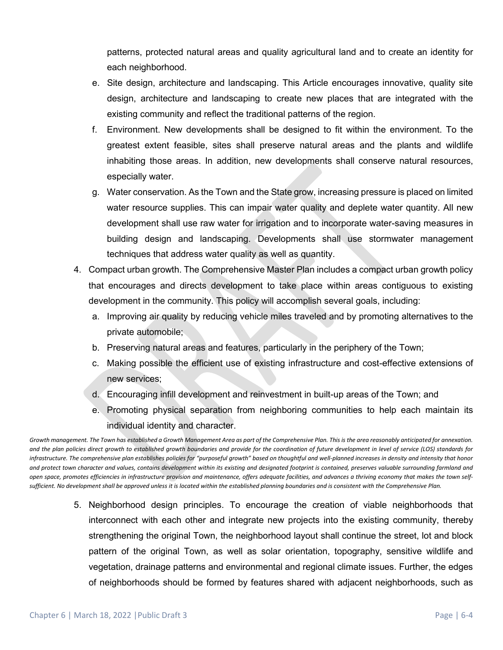patterns, protected natural areas and quality agricultural land and to create an identity for each neighborhood.

- e. Site design, architecture and landscaping. This Article encourages innovative, quality site design, architecture and landscaping to create new places that are integrated with the existing community and reflect the traditional patterns of the region.
- f. Environment. New developments shall be designed to fit within the environment. To the greatest extent feasible, sites shall preserve natural areas and the plants and wildlife inhabiting those areas. In addition, new developments shall conserve natural resources, especially water.
- g. Water conservation. As the Town and the State grow, increasing pressure is placed on limited water resource supplies. This can impair water quality and deplete water quantity. All new development shall use raw water for irrigation and to incorporate water-saving measures in building design and landscaping. Developments shall use stormwater management techniques that address water quality as well as quantity.
- 4. Compact urban growth. The Comprehensive Master Plan includes a compact urban growth policy that encourages and directs development to take place within areas contiguous to existing development in the community. This policy will accomplish several goals, including:
	- a. Improving air quality by reducing vehicle miles traveled and by promoting alternatives to the private automobile;
	- b. Preserving natural areas and features, particularly in the periphery of the Town;
	- c. Making possible the efficient use of existing infrastructure and cost-effective extensions of new services;
	- d. Encouraging infill development and reinvestment in built-up areas of the Town; and
	- e. Promoting physical separation from neighboring communities to help each maintain its individual identity and character.

*Growth management. The Town has established a Growth Management Area as part of the Comprehensive Plan. This is the area reasonably anticipated for annexation. and the plan policies direct growth to established growth boundaries and provide for the coordination of future development in level of service (LOS) standards for infrastructure. The comprehensive plan establishes policies for "purposeful growth" based on thoughtful and well-planned increases in density and intensity that honor and protect town character and values, contains development within its existing and designated footprint is contained, preserves valuable surrounding farmland and open space, promotes efficiencies in infrastructure provision and maintenance, offers adequate facilities, and advances a thriving economy that makes the town selfsufficient. No development shall be approved unless it is located within the established planning boundaries and is consistent with the Comprehensive Plan.* 

> 5. Neighborhood design principles. To encourage the creation of viable neighborhoods that interconnect with each other and integrate new projects into the existing community, thereby strengthening the original Town, the neighborhood layout shall continue the street, lot and block pattern of the original Town, as well as solar orientation, topography, sensitive wildlife and vegetation, drainage patterns and environmental and regional climate issues. Further, the edges of neighborhoods should be formed by features shared with adjacent neighborhoods, such as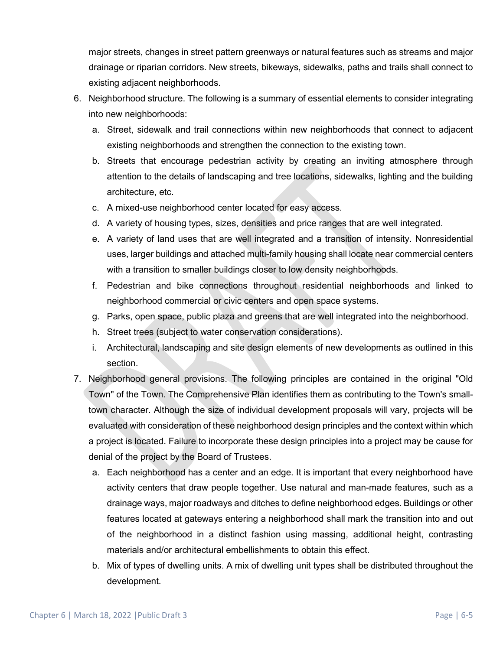major streets, changes in street pattern greenways or natural features such as streams and major drainage or riparian corridors. New streets, bikeways, sidewalks, paths and trails shall connect to existing adjacent neighborhoods.

- 6. Neighborhood structure. The following is a summary of essential elements to consider integrating into new neighborhoods:
	- a. Street, sidewalk and trail connections within new neighborhoods that connect to adjacent existing neighborhoods and strengthen the connection to the existing town.
	- b. Streets that encourage pedestrian activity by creating an inviting atmosphere through attention to the details of landscaping and tree locations, sidewalks, lighting and the building architecture, etc.
	- c. A mixed-use neighborhood center located for easy access.
	- d. A variety of housing types, sizes, densities and price ranges that are well integrated.
	- e. A variety of land uses that are well integrated and a transition of intensity. Nonresidential uses, larger buildings and attached multi-family housing shall locate near commercial centers with a transition to smaller buildings closer to low density neighborhoods.
	- f. Pedestrian and bike connections throughout residential neighborhoods and linked to neighborhood commercial or civic centers and open space systems.
	- g. Parks, open space, public plaza and greens that are well integrated into the neighborhood.
	- h. Street trees (subject to water conservation considerations).
	- i. Architectural, landscaping and site design elements of new developments as outlined in this section.
- 7. Neighborhood general provisions. The following principles are contained in the original "Old Town" of the Town. The Comprehensive Plan identifies them as contributing to the Town's smalltown character. Although the size of individual development proposals will vary, projects will be evaluated with consideration of these neighborhood design principles and the context within which a project is located. Failure to incorporate these design principles into a project may be cause for denial of the project by the Board of Trustees.
	- a. Each neighborhood has a center and an edge. It is important that every neighborhood have activity centers that draw people together. Use natural and man-made features, such as a drainage ways, major roadways and ditches to define neighborhood edges. Buildings or other features located at gateways entering a neighborhood shall mark the transition into and out of the neighborhood in a distinct fashion using massing, additional height, contrasting materials and/or architectural embellishments to obtain this effect.
	- b. Mix of types of dwelling units. A mix of dwelling unit types shall be distributed throughout the development.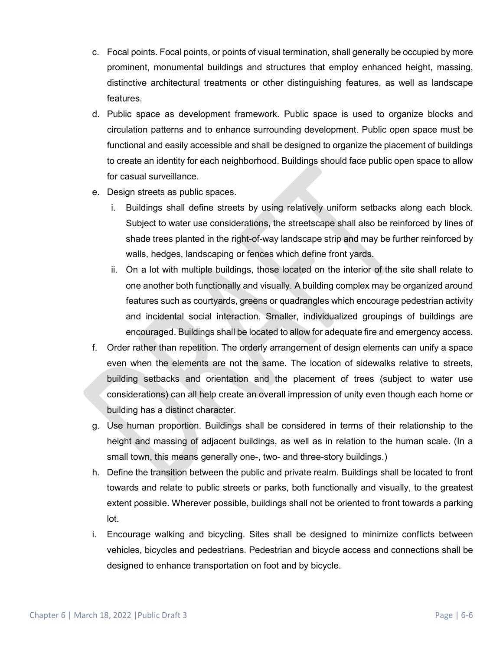- c. Focal points. Focal points, or points of visual termination, shall generally be occupied by more prominent, monumental buildings and structures that employ enhanced height, massing, distinctive architectural treatments or other distinguishing features, as well as landscape features.
- d. Public space as development framework. Public space is used to organize blocks and circulation patterns and to enhance surrounding development. Public open space must be functional and easily accessible and shall be designed to organize the placement of buildings to create an identity for each neighborhood. Buildings should face public open space to allow for casual surveillance.
- e. Design streets as public spaces.
	- i. Buildings shall define streets by using relatively uniform setbacks along each block. Subject to water use considerations, the streetscape shall also be reinforced by lines of shade trees planted in the right-of-way landscape strip and may be further reinforced by walls, hedges, landscaping or fences which define front yards.
	- ii. On a lot with multiple buildings, those located on the interior of the site shall relate to one another both functionally and visually. A building complex may be organized around features such as courtyards, greens or quadrangles which encourage pedestrian activity and incidental social interaction. Smaller, individualized groupings of buildings are encouraged. Buildings shall be located to allow for adequate fire and emergency access.
- f. Order rather than repetition. The orderly arrangement of design elements can unify a space even when the elements are not the same. The location of sidewalks relative to streets, building setbacks and orientation and the placement of trees (subject to water use considerations) can all help create an overall impression of unity even though each home or building has a distinct character.
- g. Use human proportion. Buildings shall be considered in terms of their relationship to the height and massing of adjacent buildings, as well as in relation to the human scale. (In a small town, this means generally one-, two- and three-story buildings.)
- h. Define the transition between the public and private realm. Buildings shall be located to front towards and relate to public streets or parks, both functionally and visually, to the greatest extent possible. Wherever possible, buildings shall not be oriented to front towards a parking lot.
- i. Encourage walking and bicycling. Sites shall be designed to minimize conflicts between vehicles, bicycles and pedestrians. Pedestrian and bicycle access and connections shall be designed to enhance transportation on foot and by bicycle.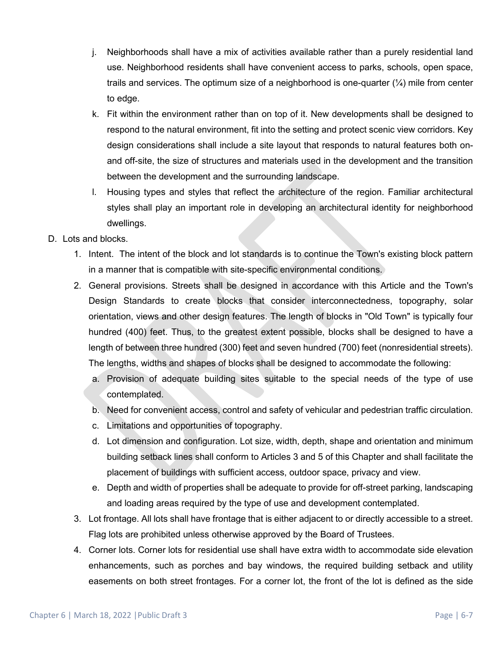- j. Neighborhoods shall have a mix of activities available rather than a purely residential land use. Neighborhood residents shall have convenient access to parks, schools, open space, trails and services. The optimum size of a neighborhood is one-quarter  $(\frac{1}{4})$  mile from center to edge.
- k. Fit within the environment rather than on top of it. New developments shall be designed to respond to the natural environment, fit into the setting and protect scenic view corridors. Key design considerations shall include a site layout that responds to natural features both onand off-site, the size of structures and materials used in the development and the transition between the development and the surrounding landscape.
- l. Housing types and styles that reflect the architecture of the region. Familiar architectural styles shall play an important role in developing an architectural identity for neighborhood dwellings.

### D. Lots and blocks.

- 1. Intent. The intent of the block and lot standards is to continue the Town's existing block pattern in a manner that is compatible with site-specific environmental conditions.
- 2. General provisions. Streets shall be designed in accordance with this Article and the Town's Design Standards to create blocks that consider interconnectedness, topography, solar orientation, views and other design features. The length of blocks in "Old Town" is typically four hundred (400) feet. Thus, to the greatest extent possible, blocks shall be designed to have a length of between three hundred (300) feet and seven hundred (700) feet (nonresidential streets). The lengths, widths and shapes of blocks shall be designed to accommodate the following:
	- a. Provision of adequate building sites suitable to the special needs of the type of use contemplated.
	- b. Need for convenient access, control and safety of vehicular and pedestrian traffic circulation.
	- c. Limitations and opportunities of topography.
	- d. Lot dimension and configuration. Lot size, width, depth, shape and orientation and minimum building setback lines shall conform to Articles 3 and 5 of this Chapter and shall facilitate the placement of buildings with sufficient access, outdoor space, privacy and view.
	- e. Depth and width of properties shall be adequate to provide for off-street parking, landscaping and loading areas required by the type of use and development contemplated.
- 3. Lot frontage. All lots shall have frontage that is either adjacent to or directly accessible to a street. Flag lots are prohibited unless otherwise approved by the Board of Trustees.
- 4. Corner lots. Corner lots for residential use shall have extra width to accommodate side elevation enhancements, such as porches and bay windows, the required building setback and utility easements on both street frontages. For a corner lot, the front of the lot is defined as the side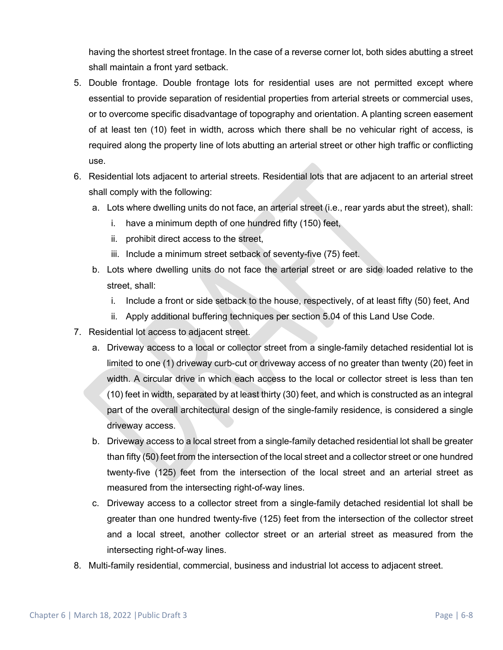having the shortest street frontage. In the case of a reverse corner lot, both sides abutting a street shall maintain a front yard setback.

- 5. Double frontage. Double frontage lots for residential uses are not permitted except where essential to provide separation of residential properties from arterial streets or commercial uses, or to overcome specific disadvantage of topography and orientation. A planting screen easement of at least ten (10) feet in width, across which there shall be no vehicular right of access, is required along the property line of lots abutting an arterial street or other high traffic or conflicting use.
- 6. Residential lots adjacent to arterial streets. Residential lots that are adjacent to an arterial street shall comply with the following:
	- a. Lots where dwelling units do not face, an arterial street (i.e., rear yards abut the street), shall:
		- i. have a minimum depth of one hundred fifty (150) feet,
		- ii. prohibit direct access to the street,
		- iii. Include a minimum street setback of seventy-five (75) feet.
	- b. Lots where dwelling units do not face the arterial street or are side loaded relative to the street, shall:
		- i. Include a front or side setback to the house, respectively, of at least fifty (50) feet, And
		- ii. Apply additional buffering techniques per section 5.04 of this Land Use Code.
- 7. Residential lot access to adjacent street.
	- a. Driveway access to a local or collector street from a single-family detached residential lot is limited to one (1) driveway curb-cut or driveway access of no greater than twenty (20) feet in width. A circular drive in which each access to the local or collector street is less than ten (10) feet in width, separated by at least thirty (30) feet, and which is constructed as an integral part of the overall architectural design of the single-family residence, is considered a single driveway access.
	- b. Driveway access to a local street from a single-family detached residential lot shall be greater than fifty (50) feet from the intersection of the local street and a collector street or one hundred twenty-five (125) feet from the intersection of the local street and an arterial street as measured from the intersecting right-of-way lines.
	- c. Driveway access to a collector street from a single-family detached residential lot shall be greater than one hundred twenty-five (125) feet from the intersection of the collector street and a local street, another collector street or an arterial street as measured from the intersecting right-of-way lines.
- 8. Multi-family residential, commercial, business and industrial lot access to adjacent street.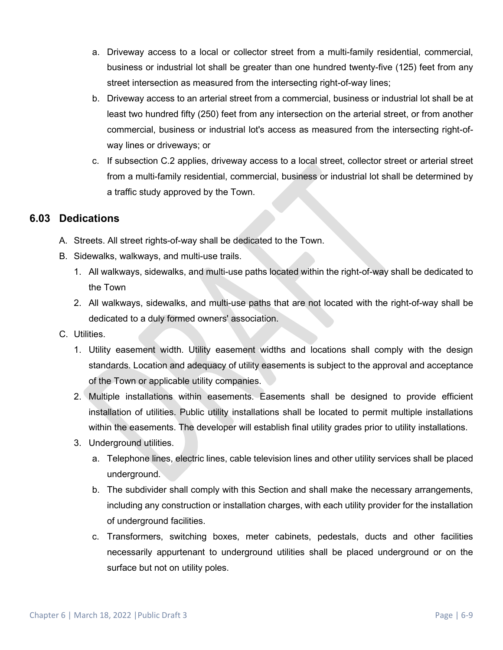- a. Driveway access to a local or collector street from a multi-family residential, commercial, business or industrial lot shall be greater than one hundred twenty-five (125) feet from any street intersection as measured from the intersecting right-of-way lines;
- b. Driveway access to an arterial street from a commercial, business or industrial lot shall be at least two hundred fifty (250) feet from any intersection on the arterial street, or from another commercial, business or industrial lot's access as measured from the intersecting right-ofway lines or driveways; or
- c. If subsection C.2 applies, driveway access to a local street, collector street or arterial street from a multi-family residential, commercial, business or industrial lot shall be determined by a traffic study approved by the Town.

# **6.03 Dedications**

- A. Streets. All street rights-of-way shall be dedicated to the Town.
- B. Sidewalks, walkways, and multi-use trails.
	- 1. All walkways, sidewalks, and multi-use paths located within the right-of-way shall be dedicated to the Town
	- 2. All walkways, sidewalks, and multi-use paths that are not located with the right-of-way shall be dedicated to a duly formed owners' association.
- C. Utilities.
	- 1. Utility easement width. Utility easement widths and locations shall comply with the design standards. Location and adequacy of utility easements is subject to the approval and acceptance of the Town or applicable utility companies.
	- 2. Multiple installations within easements. Easements shall be designed to provide efficient installation of utilities. Public utility installations shall be located to permit multiple installations within the easements. The developer will establish final utility grades prior to utility installations.
	- 3. Underground utilities.
		- a. Telephone lines, electric lines, cable television lines and other utility services shall be placed underground.
		- b. The subdivider shall comply with this Section and shall make the necessary arrangements, including any construction or installation charges, with each utility provider for the installation of underground facilities.
		- c. Transformers, switching boxes, meter cabinets, pedestals, ducts and other facilities necessarily appurtenant to underground utilities shall be placed underground or on the surface but not on utility poles.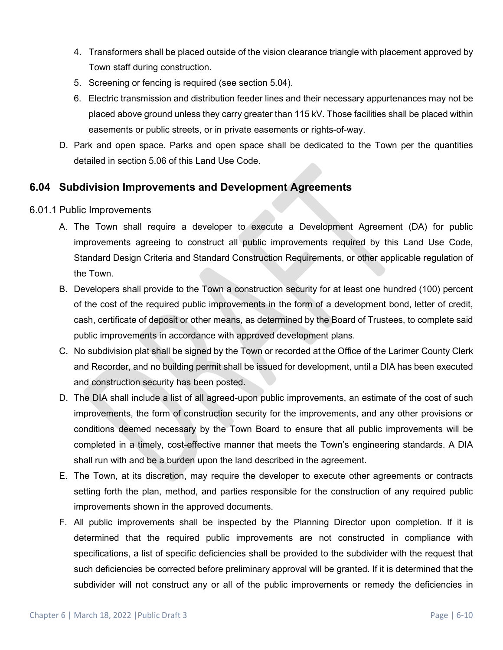- 4. Transformers shall be placed outside of the vision clearance triangle with placement approved by Town staff during construction.
- 5. Screening or fencing is required (see section 5.04).
- 6. Electric transmission and distribution feeder lines and their necessary appurtenances may not be placed above ground unless they carry greater than 115 kV. Those facilities shall be placed within easements or public streets, or in private easements or rights-of-way.
- D. Park and open space. Parks and open space shall be dedicated to the Town per the quantities detailed in section 5.06 of this Land Use Code.

### **6.04 Subdivision Improvements and Development Agreements**

### 6.01.1 Public Improvements

- A. The Town shall require a developer to execute a Development Agreement (DA) for public improvements agreeing to construct all public improvements required by this Land Use Code, Standard Design Criteria and Standard Construction Requirements, or other applicable regulation of the Town.
- B. Developers shall provide to the Town a construction security for at least one hundred (100) percent of the cost of the required public improvements in the form of a development bond, letter of credit, cash, certificate of deposit or other means, as determined by the Board of Trustees, to complete said public improvements in accordance with approved development plans.
- C. No subdivision plat shall be signed by the Town or recorded at the Office of the Larimer County Clerk and Recorder, and no building permit shall be issued for development, until a DIA has been executed and construction security has been posted.
- D. The DIA shall include a list of all agreed-upon public improvements, an estimate of the cost of such improvements, the form of construction security for the improvements, and any other provisions or conditions deemed necessary by the Town Board to ensure that all public improvements will be completed in a timely, cost-effective manner that meets the Town's engineering standards. A DIA shall run with and be a burden upon the land described in the agreement.
- E. The Town, at its discretion, may require the developer to execute other agreements or contracts setting forth the plan, method, and parties responsible for the construction of any required public improvements shown in the approved documents.
- F. All public improvements shall be inspected by the Planning Director upon completion. If it is determined that the required public improvements are not constructed in compliance with specifications, a list of specific deficiencies shall be provided to the subdivider with the request that such deficiencies be corrected before preliminary approval will be granted. If it is determined that the subdivider will not construct any or all of the public improvements or remedy the deficiencies in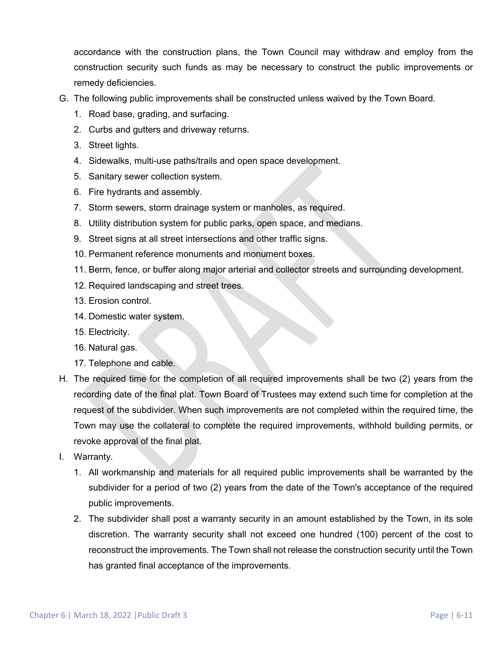accordance with the construction plans, the Town Council may withdraw and employ from the construction security such funds as may be necessary to construct the public improvements or remedy deficiencies.

- G. The following public improvements shall be constructed unless waived by the Town Board.
	- 1. Road base, grading, and surfacing.
	- 2. Curbs and gutters and driveway returns.
	- 3. Street lights.
	- 4. Sidewalks, multi-use paths/trails and open space development.
	- 5. Sanitary sewer collection system.
	- 6. Fire hydrants and assembly.
	- 7. Storm sewers, storm drainage system or manholes, as required.
	- 8. Utility distribution system for public parks, open space, and medians.
	- 9. Street signs at all street intersections and other traffic signs.
	- 10. Permanent reference monuments and monument boxes.
	- 11. Berm, fence, or buffer along major arterial and collector streets and surrounding development.
	- 12. Required landscaping and street trees.
	- 13. Erosion control.
	- 14. Domestic water system.
	- 15. Electricity.
	- 16. Natural gas.
	- 17. Telephone and cable.
- H. The required time for the completion of all required improvements shall be two (2) years from the recording date of the final plat. Town Board of Trustees may extend such time for completion at the request of the subdivider. When such improvements are not completed within the required time, the Town may use the collateral to complete the required improvements, withhold building permits, or revoke approval of the final plat.
- I. Warranty.
	- 1. All workmanship and materials for all required public improvements shall be warranted by the subdivider for a period of two (2) years from the date of the Town's acceptance of the required public improvements.
	- 2. The subdivider shall post a warranty security in an amount established by the Town, in its sole discretion. The warranty security shall not exceed one hundred (100) percent of the cost to reconstruct the improvements. The Town shall not release the construction security until the Town has granted final acceptance of the improvements.